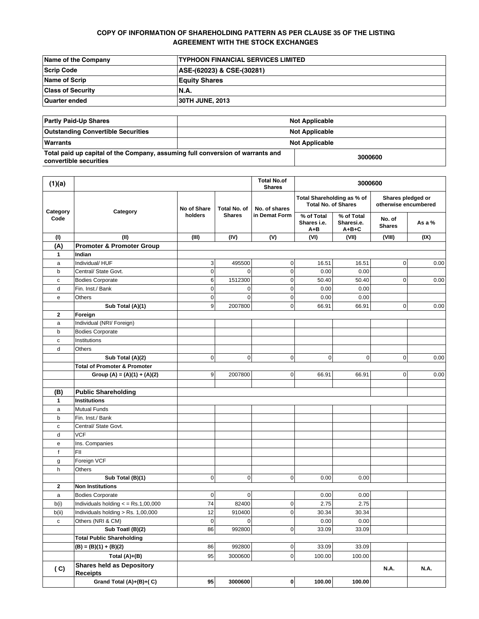# **COPY OF INFORMATION OF SHAREHOLDING PATTERN AS PER CLAUSE 35 OF THE LISTING AGREEMENT WITH THE STOCK EXCHANGES**

| Name of the Company      | <b>ITYPHOON FINANCIAL SERVICES LIMITED</b> |
|--------------------------|--------------------------------------------|
| Scrip Code               | ASE-(62023) & CSE-(30281)                  |
| <b>Name of Scrip</b>     | <b>Equity Shares</b>                       |
| <b>Class of Security</b> | IN.A.                                      |
| Quarter ended            | <b>30TH JUNE, 2013</b>                     |

| <b>Partly Paid-Up Shares</b>                                                                             | <b>Not Applicable</b> |  |  |
|----------------------------------------------------------------------------------------------------------|-----------------------|--|--|
| <b>Outstanding Convertible Securities</b>                                                                | <b>Not Applicable</b> |  |  |
| Warrants                                                                                                 | <b>Not Applicable</b> |  |  |
| Total paid up capital of the Company, assuming full conversion of warrants and<br>convertible securities | 3000600               |  |  |

| (1)(a)           |                                                             |                |                               | <b>Total No.of</b><br><b>Shares</b> |                                                          | 3000600                                 |                                           |             |
|------------------|-------------------------------------------------------------|----------------|-------------------------------|-------------------------------------|----------------------------------------------------------|-----------------------------------------|-------------------------------------------|-------------|
| Category<br>Code | Category                                                    | No of Share    | Total No. of<br><b>Shares</b> | No. of shares<br>in Demat Form      | Total Shareholding as % of<br><b>Total No. of Shares</b> |                                         | Shares pledged or<br>otherwise encumbered |             |
|                  |                                                             | holders        |                               |                                     | % of Total<br>Shares i.e.<br>A+B                         | % of Total<br>Sharesi.e.<br>$A + B + C$ | No. of<br><b>Shares</b>                   | As a %      |
| (1)              | (II)                                                        | (III)          | (IV)                          | (V)                                 | (VI)                                                     | (VII)                                   | (VIII)                                    | (IX)        |
| (A)              | <b>Promoter &amp; Promoter Group</b>                        |                |                               |                                     |                                                          |                                         |                                           |             |
| 1                | Indian                                                      |                |                               |                                     |                                                          |                                         |                                           |             |
| a                | Individual/ HUF                                             | 3              | 495500                        | $\pmb{0}$                           | 16.51                                                    | 16.51                                   | 0                                         | 0.00        |
| b                | Central/ State Govt.                                        | 0              | $\Omega$                      | $\mathbf 0$                         | 0.00                                                     | 0.00                                    |                                           |             |
| с                | <b>Bodies Corporate</b>                                     | 6              | 1512300                       | $\pmb{0}$                           | 50.40                                                    | 50.40                                   | 0                                         | 0.00        |
| d                | Fin. Inst./ Bank                                            | 0              | $\mathbf 0$                   | $\mathbf 0$                         | 0.00                                                     | 0.00                                    |                                           |             |
| е                | Others                                                      | $\overline{0}$ | $\mathbf 0$                   | $\pmb{0}$                           | 0.00                                                     | 0.00                                    |                                           |             |
|                  | Sub Total (A)(1)                                            | 9              | 2007800                       | $\pmb{0}$                           | 66.91                                                    | 66.91                                   | $\pmb{0}$                                 | 0.00        |
| $\mathbf{2}$     | Foreign                                                     |                |                               |                                     |                                                          |                                         |                                           |             |
| a                | Individual (NRI/ Foreign)                                   |                |                               |                                     |                                                          |                                         |                                           |             |
| b                | <b>Bodies Corporate</b>                                     |                |                               |                                     |                                                          |                                         |                                           |             |
| с                | Institutions                                                |                |                               |                                     |                                                          |                                         |                                           |             |
| d                | Others                                                      |                |                               |                                     |                                                          |                                         |                                           |             |
|                  | Sub Total (A)(2)<br><b>Total of Promoter &amp; Promoter</b> | $\overline{0}$ | $\mathbf 0$                   | $\pmb{0}$                           | 0                                                        | $\mathbf 0$                             | $\mathbf 0$                               | 0.00        |
|                  |                                                             | $\overline{9}$ | 2007800                       | 0                                   | 66.91                                                    | 66.91                                   | 0                                         | 0.00        |
|                  | Group (A) = $(A)(1) + (A)(2)$                               |                |                               |                                     |                                                          |                                         |                                           |             |
| (B)              | <b>Public Shareholding</b>                                  |                |                               |                                     |                                                          |                                         |                                           |             |
| 1                | <b>Institutions</b>                                         |                |                               |                                     |                                                          |                                         |                                           |             |
| a                | <b>Mutual Funds</b>                                         |                |                               |                                     |                                                          |                                         |                                           |             |
| b                | Fin. Inst./ Bank                                            |                |                               |                                     |                                                          |                                         |                                           |             |
| с                | Central/ State Govt.                                        |                |                               |                                     |                                                          |                                         |                                           |             |
| d                | <b>VCF</b>                                                  |                |                               |                                     |                                                          |                                         |                                           |             |
| е                | Ins. Companies                                              |                |                               |                                     |                                                          |                                         |                                           |             |
| f                | FII                                                         |                |                               |                                     |                                                          |                                         |                                           |             |
| g                | Foreign VCF                                                 |                |                               |                                     |                                                          |                                         |                                           |             |
| h                | Others                                                      |                |                               |                                     |                                                          |                                         |                                           |             |
|                  | Sub Total (B)(1)                                            | 0              | $\mathbf 0$                   | $\mathbf 0$                         | 0.00                                                     | 0.00                                    |                                           |             |
| $\mathbf{2}$     | <b>Non Institutions</b>                                     |                |                               |                                     |                                                          |                                         |                                           |             |
| a                | <b>Bodies Corporate</b>                                     | $\overline{0}$ | $\mathbf 0$                   |                                     | 0.00                                                     | 0.00                                    |                                           |             |
| b(i)             | Individuals holding $\lt$ = Rs.1,00,000                     | 74             | 82400                         | $\pmb{0}$                           | 2.75                                                     | 2.75                                    |                                           |             |
| b(ii)            | Individuals holding > Rs. 1,00,000                          | 12             | 910400                        | $\mathbf 0$                         | 30.34                                                    | 30.34                                   |                                           |             |
| c                | Others (NRI & CM)                                           | $\mathbf 0$    | $\mathbf 0$                   |                                     | 0.00                                                     | 0.00                                    |                                           |             |
|                  | Sub Toatl (B)(2)                                            | 86             | 992800                        | $\mathsf{o}$                        | 33.09                                                    | 33.09                                   |                                           |             |
|                  | <b>Total Public Shareholding</b>                            |                |                               |                                     |                                                          |                                         |                                           |             |
|                  | $(B) = (B)(1) + (B)(2)$                                     | 86             | 992800                        | $\pmb{0}$                           | 33.09                                                    | 33.09                                   |                                           |             |
|                  | Total $(A)+(B)$                                             | 95             | 3000600                       | $\mathsf 0$                         | 100.00                                                   | 100.00                                  |                                           |             |
| (C)              | <b>Shares held as Depository</b><br><b>Receipts</b>         |                |                               |                                     |                                                          |                                         | <b>N.A.</b>                               | <b>N.A.</b> |
|                  | Grand Total (A)+(B)+(C)                                     | 95             | 3000600                       | $\mathbf 0$                         | 100.00                                                   | 100.00                                  |                                           |             |